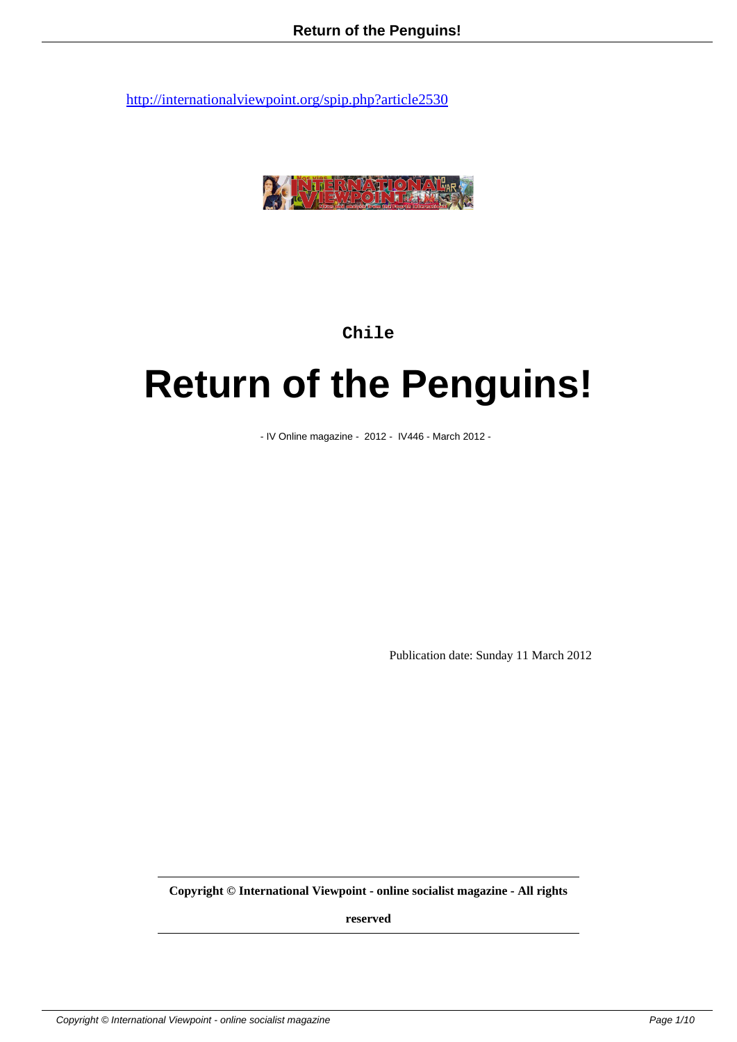

**Chile**

## **Return of the Penguins!**

- IV Online magazine - 2012 - IV446 - March 2012 -

Publication date: Sunday 11 March 2012

**Copyright © International Viewpoint - online socialist magazine - All rights**

**reserved**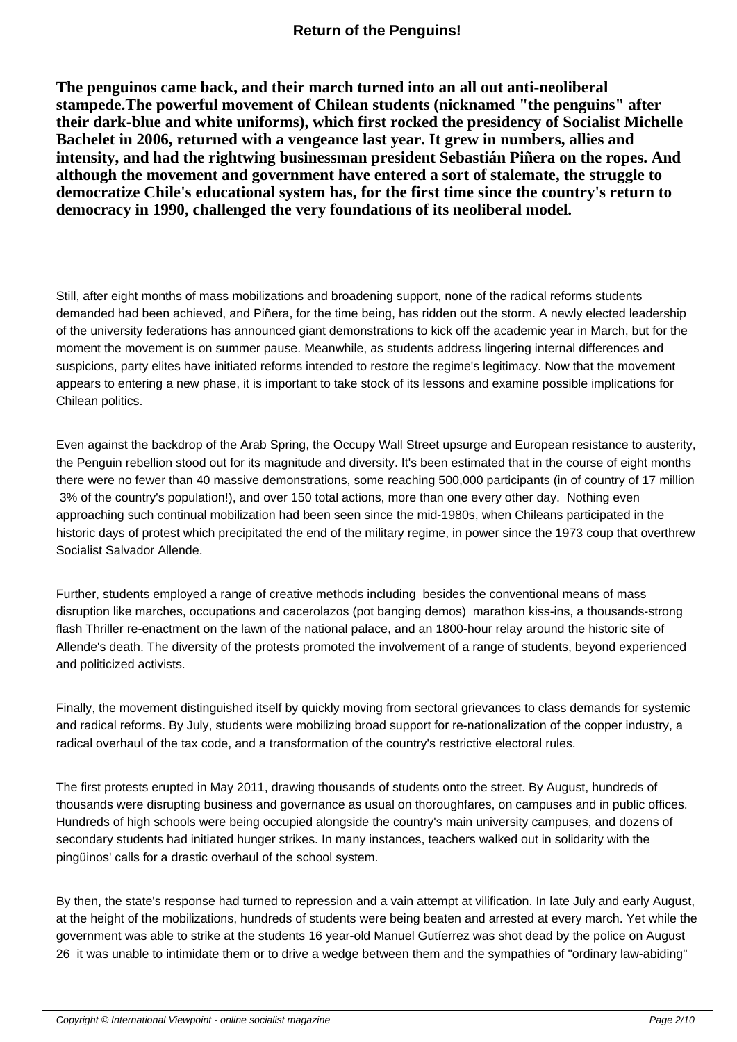**The penguinos came back, and their march turned into an all out anti-neoliberal stampede.The powerful movement of Chilean students (nicknamed "the penguins" after their dark-blue and white uniforms), which first rocked the presidency of Socialist Michelle Bachelet in 2006, returned with a vengeance last year. It grew in numbers, allies and intensity, and had the rightwing businessman president Sebastián Piñera on the ropes. And although the movement and government have entered a sort of stalemate, the struggle to democratize Chile's educational system has, for the first time since the country's return to democracy in 1990, challenged the very foundations of its neoliberal model.**

Still, after eight months of mass mobilizations and broadening support, none of the radical reforms students demanded had been achieved, and Piñera, for the time being, has ridden out the storm. A newly elected leadership of the university federations has announced giant demonstrations to kick off the academic year in March, but for the moment the movement is on summer pause. Meanwhile, as students address lingering internal differences and suspicions, party elites have initiated reforms intended to restore the regime's legitimacy. Now that the movement appears to entering a new phase, it is important to take stock of its lessons and examine possible implications for Chilean politics.

Even against the backdrop of the Arab Spring, the Occupy Wall Street upsurge and European resistance to austerity, the Penguin rebellion stood out for its magnitude and diversity. It's been estimated that in the course of eight months there were no fewer than 40 massive demonstrations, some reaching 500,000 participants (in of country of 17 million 3% of the country's population!), and over 150 total actions, more than one every other day. Nothing even approaching such continual mobilization had been seen since the mid-1980s, when Chileans participated in the historic days of protest which precipitated the end of the military regime, in power since the 1973 coup that overthrew Socialist Salvador Allende.

Further, students employed a range of creative methods including besides the conventional means of mass disruption like marches, occupations and cacerolazos (pot banging demos) marathon kiss-ins, a thousands-strong flash Thriller re-enactment on the lawn of the national palace, and an 1800-hour relay around the historic site of Allende's death. The diversity of the protests promoted the involvement of a range of students, beyond experienced and politicized activists.

Finally, the movement distinguished itself by quickly moving from sectoral grievances to class demands for systemic and radical reforms. By July, students were mobilizing broad support for re-nationalization of the copper industry, a radical overhaul of the tax code, and a transformation of the country's restrictive electoral rules.

The first protests erupted in May 2011, drawing thousands of students onto the street. By August, hundreds of thousands were disrupting business and governance as usual on thoroughfares, on campuses and in public offices. Hundreds of high schools were being occupied alongside the country's main university campuses, and dozens of secondary students had initiated hunger strikes. In many instances, teachers walked out in solidarity with the pingüinos' calls for a drastic overhaul of the school system.

By then, the state's response had turned to repression and a vain attempt at vilification. In late July and early August, at the height of the mobilizations, hundreds of students were being beaten and arrested at every march. Yet while the government was able to strike at the students 16 year-old Manuel Gutíerrez was shot dead by the police on August 26 it was unable to intimidate them or to drive a wedge between them and the sympathies of "ordinary law-abiding"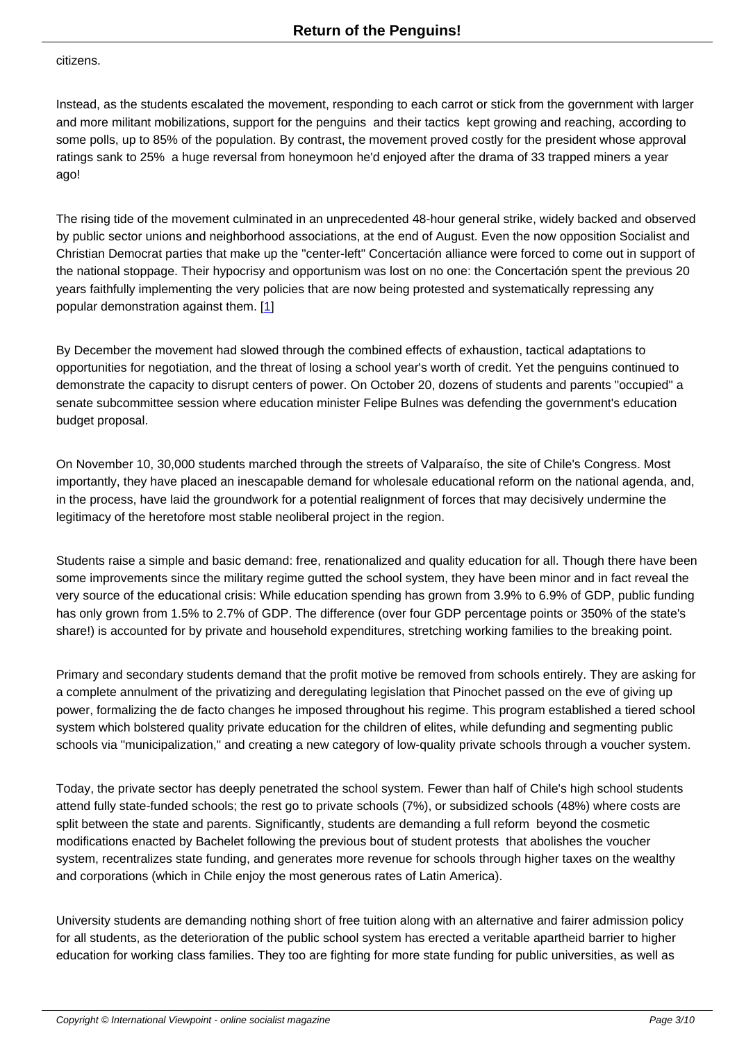citizens.

Instead, as the students escalated the movement, responding to each carrot or stick from the government with larger and more militant mobilizations, support for the penguins and their tactics kept growing and reaching, according to some polls, up to 85% of the population. By contrast, the movement proved costly for the president whose approval ratings sank to 25% a huge reversal from honeymoon he'd enjoyed after the drama of 33 trapped miners a year ago!

The rising tide of the movement culminated in an unprecedented 48-hour general strike, widely backed and observed by public sector unions and neighborhood associations, at the end of August. Even the now opposition Socialist and Christian Democrat parties that make up the "center-left" Concertación alliance were forced to come out in support of the national stoppage. Their hypocrisy and opportunism was lost on no one: the Concertación spent the previous 20 years faithfully implementing the very policies that are now being protested and systematically repressing any popular demonstration against them. [1]

By December the movement had slowed through the combined effects of exhaustion, tactical adaptations to opportunities for negotiation, and the [thr](#nb1)eat of losing a school year's worth of credit. Yet the penguins continued to demonstrate the capacity to disrupt centers of power. On October 20, dozens of students and parents "occupied" a senate subcommittee session where education minister Felipe Bulnes was defending the government's education budget proposal.

On November 10, 30,000 students marched through the streets of Valparaíso, the site of Chile's Congress. Most importantly, they have placed an inescapable demand for wholesale educational reform on the national agenda, and, in the process, have laid the groundwork for a potential realignment of forces that may decisively undermine the legitimacy of the heretofore most stable neoliberal project in the region.

Students raise a simple and basic demand: free, renationalized and quality education for all. Though there have been some improvements since the military regime gutted the school system, they have been minor and in fact reveal the very source of the educational crisis: While education spending has grown from 3.9% to 6.9% of GDP, public funding has only grown from 1.5% to 2.7% of GDP. The difference (over four GDP percentage points or 350% of the state's share!) is accounted for by private and household expenditures, stretching working families to the breaking point.

Primary and secondary students demand that the profit motive be removed from schools entirely. They are asking for a complete annulment of the privatizing and deregulating legislation that Pinochet passed on the eve of giving up power, formalizing the de facto changes he imposed throughout his regime. This program established a tiered school system which bolstered quality private education for the children of elites, while defunding and segmenting public schools via "municipalization," and creating a new category of low-quality private schools through a voucher system.

Today, the private sector has deeply penetrated the school system. Fewer than half of Chile's high school students attend fully state-funded schools; the rest go to private schools (7%), or subsidized schools (48%) where costs are split between the state and parents. Significantly, students are demanding a full reform beyond the cosmetic modifications enacted by Bachelet following the previous bout of student protests that abolishes the voucher system, recentralizes state funding, and generates more revenue for schools through higher taxes on the wealthy and corporations (which in Chile enjoy the most generous rates of Latin America).

University students are demanding nothing short of free tuition along with an alternative and fairer admission policy for all students, as the deterioration of the public school system has erected a veritable apartheid barrier to higher education for working class families. They too are fighting for more state funding for public universities, as well as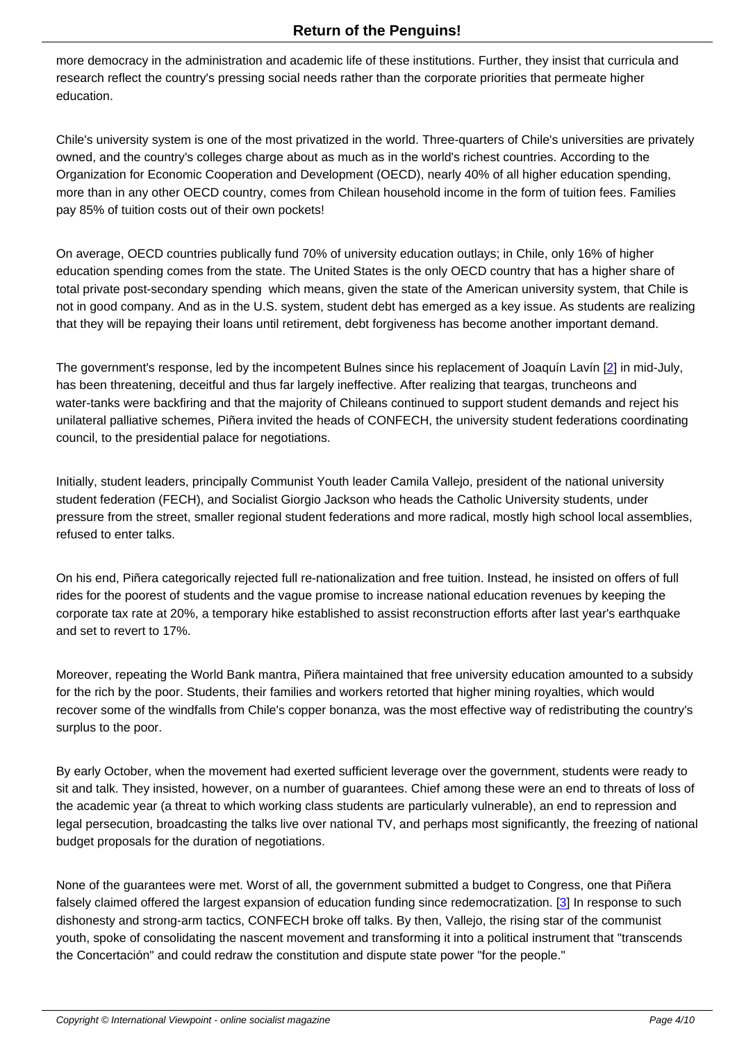more democracy in the administration and academic life of these institutions. Further, they insist that curricula and research reflect the country's pressing social needs rather than the corporate priorities that permeate higher education.

Chile's university system is one of the most privatized in the world. Three-quarters of Chile's universities are privately owned, and the country's colleges charge about as much as in the world's richest countries. According to the Organization for Economic Cooperation and Development (OECD), nearly 40% of all higher education spending, more than in any other OECD country, comes from Chilean household income in the form of tuition fees. Families pay 85% of tuition costs out of their own pockets!

On average, OECD countries publically fund 70% of university education outlays; in Chile, only 16% of higher education spending comes from the state. The United States is the only OECD country that has a higher share of total private post-secondary spending which means, given the state of the American university system, that Chile is not in good company. And as in the U.S. system, student debt has emerged as a key issue. As students are realizing that they will be repaying their loans until retirement, debt forgiveness has become another important demand.

The government's response, led by the incompetent Bulnes since his replacement of Joaquín Lavín [2] in mid-July, has been threatening, deceitful and thus far largely ineffective. After realizing that teargas, truncheons and water-tanks were backfiring and that the majority of Chileans continued to support student demands and reject his unilateral palliative schemes, Piñera invited the heads of CONFECH, the university student federatio[ns](#nb2) coordinating council, to the presidential palace for negotiations.

Initially, student leaders, principally Communist Youth leader Camila Vallejo, president of the national university student federation (FECH), and Socialist Giorgio Jackson who heads the Catholic University students, under pressure from the street, smaller regional student federations and more radical, mostly high school local assemblies, refused to enter talks.

On his end, Piñera categorically rejected full re-nationalization and free tuition. Instead, he insisted on offers of full rides for the poorest of students and the vague promise to increase national education revenues by keeping the corporate tax rate at 20%, a temporary hike established to assist reconstruction efforts after last year's earthquake and set to revert to 17%.

Moreover, repeating the World Bank mantra, Piñera maintained that free university education amounted to a subsidy for the rich by the poor. Students, their families and workers retorted that higher mining royalties, which would recover some of the windfalls from Chile's copper bonanza, was the most effective way of redistributing the country's surplus to the poor.

By early October, when the movement had exerted sufficient leverage over the government, students were ready to sit and talk. They insisted, however, on a number of guarantees. Chief among these were an end to threats of loss of the academic year (a threat to which working class students are particularly vulnerable), an end to repression and legal persecution, broadcasting the talks live over national TV, and perhaps most significantly, the freezing of national budget proposals for the duration of negotiations.

None of the guarantees were met. Worst of all, the government submitted a budget to Congress, one that Piñera falsely claimed offered the largest expansion of education funding since redemocratization. [3] In response to such dishonesty and strong-arm tactics, CONFECH broke off talks. By then, Vallejo, the rising star of the communist youth, spoke of consolidating the nascent movement and transforming it into a political instrument that "transcends the Concertación" and could redraw the constitution and dispute state power "for the people[."](#nb3)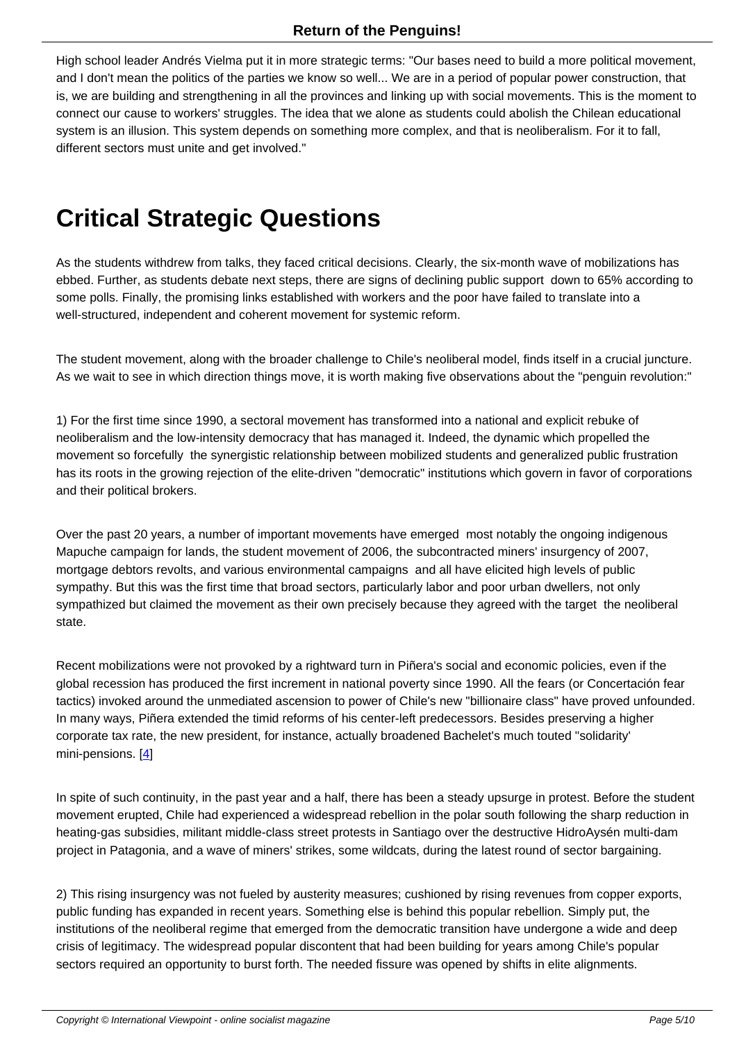High school leader Andrés Vielma put it in more strategic terms: "Our bases need to build a more political movement, and I don't mean the politics of the parties we know so well... We are in a period of popular power construction, that is, we are building and strengthening in all the provinces and linking up with social movements. This is the moment to connect our cause to workers' struggles. The idea that we alone as students could abolish the Chilean educational system is an illusion. This system depends on something more complex, and that is neoliberalism. For it to fall, different sectors must unite and get involved."

## **Critical Strategic Questions**

As the students withdrew from talks, they faced critical decisions. Clearly, the six-month wave of mobilizations has ebbed. Further, as students debate next steps, there are signs of declining public support down to 65% according to some polls. Finally, the promising links established with workers and the poor have failed to translate into a well-structured, independent and coherent movement for systemic reform.

The student movement, along with the broader challenge to Chile's neoliberal model, finds itself in a crucial juncture. As we wait to see in which direction things move, it is worth making five observations about the "penguin revolution:"

1) For the first time since 1990, a sectoral movement has transformed into a national and explicit rebuke of neoliberalism and the low-intensity democracy that has managed it. Indeed, the dynamic which propelled the movement so forcefully the synergistic relationship between mobilized students and generalized public frustration has its roots in the growing rejection of the elite-driven "democratic" institutions which govern in favor of corporations and their political brokers.

Over the past 20 years, a number of important movements have emerged most notably the ongoing indigenous Mapuche campaign for lands, the student movement of 2006, the subcontracted miners' insurgency of 2007, mortgage debtors revolts, and various environmental campaigns and all have elicited high levels of public sympathy. But this was the first time that broad sectors, particularly labor and poor urban dwellers, not only sympathized but claimed the movement as their own precisely because they agreed with the target the neoliberal state.

Recent mobilizations were not provoked by a rightward turn in Piñera's social and economic policies, even if the global recession has produced the first increment in national poverty since 1990. All the fears (or Concertación fear tactics) invoked around the unmediated ascension to power of Chile's new "billionaire class" have proved unfounded. In many ways, Piñera extended the timid reforms of his center-left predecessors. Besides preserving a higher corporate tax rate, the new president, for instance, actually broadened Bachelet's much touted "solidarity' mini-pensions. [4]

In spite of such continuity, in the past year and a half, there has been a steady upsurge in protest. Before the student movement erup[te](#nb4)d, Chile had experienced a widespread rebellion in the polar south following the sharp reduction in heating-gas subsidies, militant middle-class street protests in Santiago over the destructive HidroAysén multi-dam project in Patagonia, and a wave of miners' strikes, some wildcats, during the latest round of sector bargaining.

2) This rising insurgency was not fueled by austerity measures; cushioned by rising revenues from copper exports, public funding has expanded in recent years. Something else is behind this popular rebellion. Simply put, the institutions of the neoliberal regime that emerged from the democratic transition have undergone a wide and deep crisis of legitimacy. The widespread popular discontent that had been building for years among Chile's popular sectors required an opportunity to burst forth. The needed fissure was opened by shifts in elite alignments.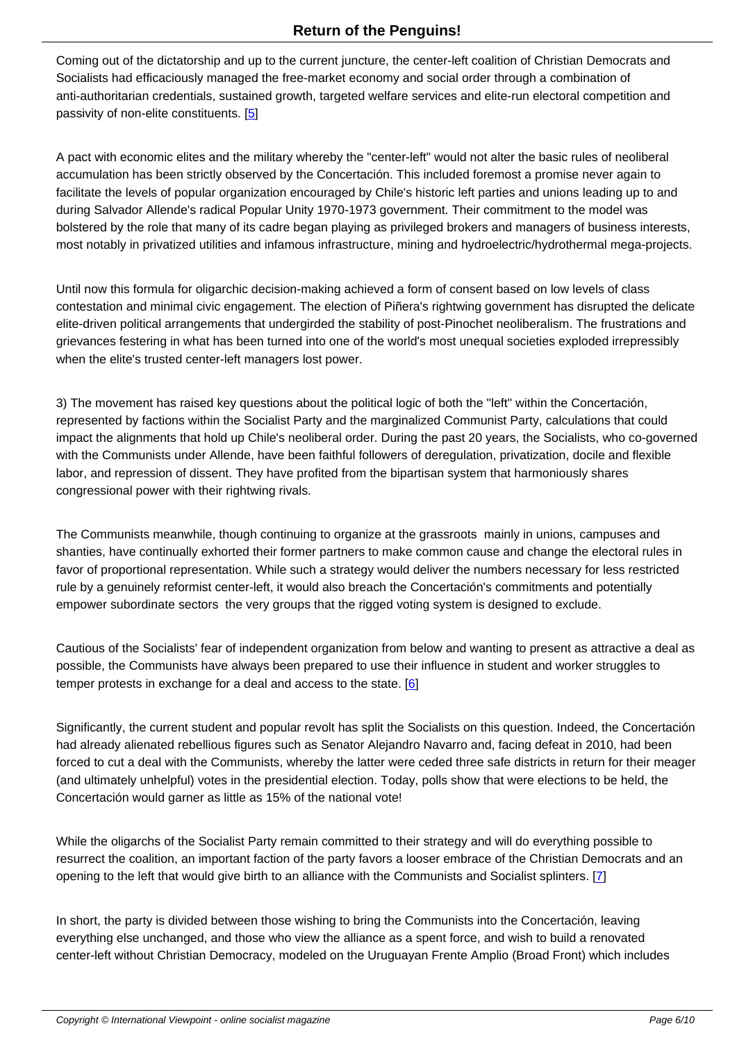Coming out of the dictatorship and up to the current juncture, the center-left coalition of Christian Democrats and Socialists had efficaciously managed the free-market economy and social order through a combination of anti-authoritarian credentials, sustained growth, targeted welfare services and elite-run electoral competition and passivity of non-elite constituents. [5]

A pact with economic elites and the military whereby the "center-left" would not alter the basic rules of neoliberal accumulation has been strictly obs[er](#nb5)ved by the Concertación. This included foremost a promise never again to facilitate the levels of popular organization encouraged by Chile's historic left parties and unions leading up to and during Salvador Allende's radical Popular Unity 1970-1973 government. Their commitment to the model was bolstered by the role that many of its cadre began playing as privileged brokers and managers of business interests, most notably in privatized utilities and infamous infrastructure, mining and hydroelectric/hydrothermal mega-projects.

Until now this formula for oligarchic decision-making achieved a form of consent based on low levels of class contestation and minimal civic engagement. The election of Piñera's rightwing government has disrupted the delicate elite-driven political arrangements that undergirded the stability of post-Pinochet neoliberalism. The frustrations and grievances festering in what has been turned into one of the world's most unequal societies exploded irrepressibly when the elite's trusted center-left managers lost power.

3) The movement has raised key questions about the political logic of both the "left" within the Concertación, represented by factions within the Socialist Party and the marginalized Communist Party, calculations that could impact the alignments that hold up Chile's neoliberal order. During the past 20 years, the Socialists, who co-governed with the Communists under Allende, have been faithful followers of deregulation, privatization, docile and flexible labor, and repression of dissent. They have profited from the bipartisan system that harmoniously shares congressional power with their rightwing rivals.

The Communists meanwhile, though continuing to organize at the grassroots mainly in unions, campuses and shanties, have continually exhorted their former partners to make common cause and change the electoral rules in favor of proportional representation. While such a strategy would deliver the numbers necessary for less restricted rule by a genuinely reformist center-left, it would also breach the Concertación's commitments and potentially empower subordinate sectors the very groups that the rigged voting system is designed to exclude.

Cautious of the Socialists' fear of independent organization from below and wanting to present as attractive a deal as possible, the Communists have always been prepared to use their influence in student and worker struggles to temper protests in exchange for a deal and access to the state.  $[6]$ 

Significantly, the current student and popular revolt has split the Socialists on this question. Indeed, the Concertación had already alienated rebellious figures such as Senator Alejan[dro](#nb6) Navarro and, facing defeat in 2010, had been forced to cut a deal with the Communists, whereby the latter were ceded three safe districts in return for their meager (and ultimately unhelpful) votes in the presidential election. Today, polls show that were elections to be held, the Concertación would garner as little as 15% of the national vote!

While the oligarchs of the Socialist Party remain committed to their strategy and will do everything possible to resurrect the coalition, an important faction of the party favors a looser embrace of the Christian Democrats and an opening to the left that would give birth to an alliance with the Communists and Socialist splinters. [7]

In short, the party is divided between those wishing to bring the Communists into the Concertación, leaving everything else unchanged, and those who view the alliance as a spent force, and wish to build a r[en](#nb7)ovated center-left without Christian Democracy, modeled on the Uruguayan Frente Amplio (Broad Front) which includes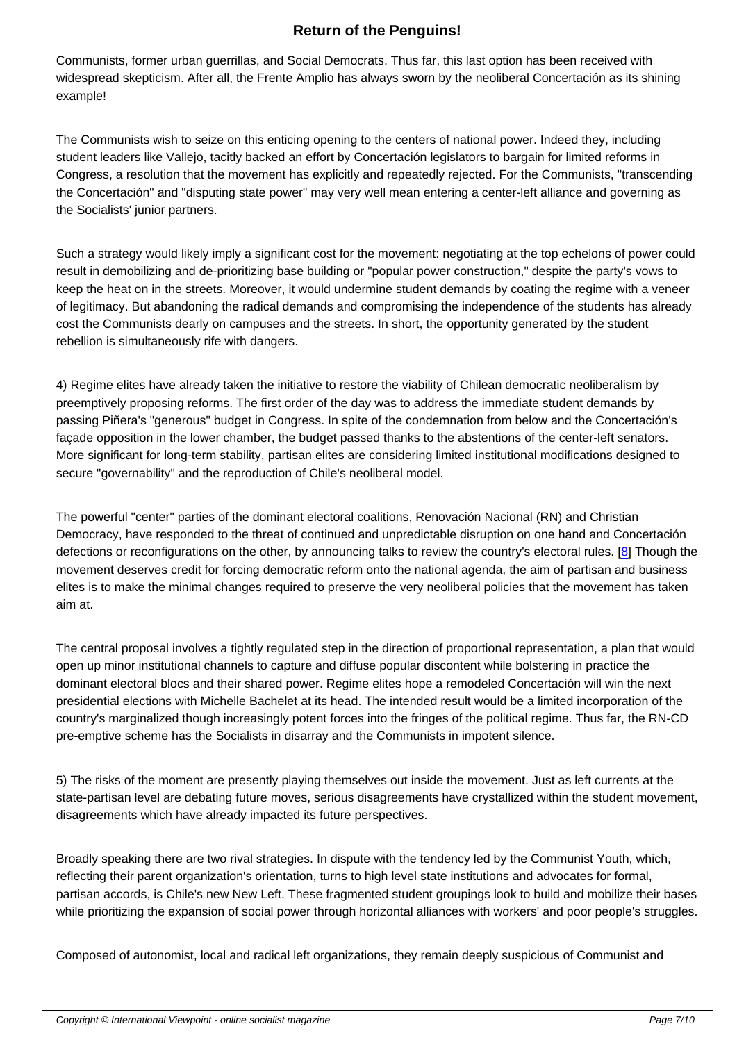Communists, former urban guerrillas, and Social Democrats. Thus far, this last option has been received with widespread skepticism. After all, the Frente Amplio has always sworn by the neoliberal Concertación as its shining example!

The Communists wish to seize on this enticing opening to the centers of national power. Indeed they, including student leaders like Vallejo, tacitly backed an effort by Concertación legislators to bargain for limited reforms in Congress, a resolution that the movement has explicitly and repeatedly rejected. For the Communists, "transcending the Concertación" and "disputing state power" may very well mean entering a center-left alliance and governing as the Socialists' junior partners.

Such a strategy would likely imply a significant cost for the movement: negotiating at the top echelons of power could result in demobilizing and de-prioritizing base building or "popular power construction," despite the party's vows to keep the heat on in the streets. Moreover, it would undermine student demands by coating the regime with a veneer of legitimacy. But abandoning the radical demands and compromising the independence of the students has already cost the Communists dearly on campuses and the streets. In short, the opportunity generated by the student rebellion is simultaneously rife with dangers.

4) Regime elites have already taken the initiative to restore the viability of Chilean democratic neoliberalism by preemptively proposing reforms. The first order of the day was to address the immediate student demands by passing Piñera's "generous" budget in Congress. In spite of the condemnation from below and the Concertación's façade opposition in the lower chamber, the budget passed thanks to the abstentions of the center-left senators. More significant for long-term stability, partisan elites are considering limited institutional modifications designed to secure "governability" and the reproduction of Chile's neoliberal model.

The powerful "center" parties of the dominant electoral coalitions, Renovación Nacional (RN) and Christian Democracy, have responded to the threat of continued and unpredictable disruption on one hand and Concertación defections or reconfigurations on the other, by announcing talks to review the country's electoral rules. [8] Though the movement deserves credit for forcing democratic reform onto the national agenda, the aim of partisan and business elites is to make the minimal changes required to preserve the very neoliberal policies that the movement has taken aim at.

The central proposal involves a tightly regulated step in the direction of proportional representation, a plan that would open up minor institutional channels to capture and diffuse popular discontent while bolstering in practice the dominant electoral blocs and their shared power. Regime elites hope a remodeled Concertación will win the next presidential elections with Michelle Bachelet at its head. The intended result would be a limited incorporation of the country's marginalized though increasingly potent forces into the fringes of the political regime. Thus far, the RN-CD pre-emptive scheme has the Socialists in disarray and the Communists in impotent silence.

5) The risks of the moment are presently playing themselves out inside the movement. Just as left currents at the state-partisan level are debating future moves, serious disagreements have crystallized within the student movement, disagreements which have already impacted its future perspectives.

Broadly speaking there are two rival strategies. In dispute with the tendency led by the Communist Youth, which, reflecting their parent organization's orientation, turns to high level state institutions and advocates for formal, partisan accords, is Chile's new New Left. These fragmented student groupings look to build and mobilize their bases while prioritizing the expansion of social power through horizontal alliances with workers' and poor people's struggles.

Composed of autonomist, local and radical left organizations, they remain deeply suspicious of Communist and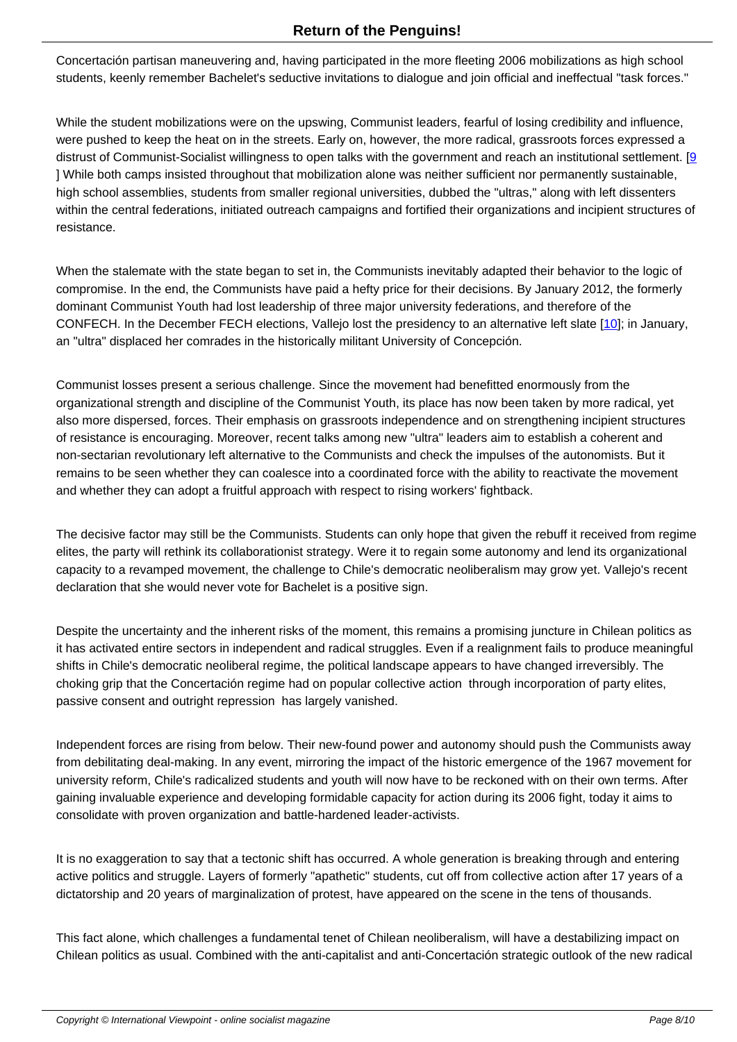Concertación partisan maneuvering and, having participated in the more fleeting 2006 mobilizations as high school students, keenly remember Bachelet's seductive invitations to dialogue and join official and ineffectual "task forces."

While the student mobilizations were on the upswing, Communist leaders, fearful of losing credibility and influence, were pushed to keep the heat on in the streets. Early on, however, the more radical, grassroots forces expressed a distrust of Communist-Socialist willingness to open talks with the government and reach an institutional settlement. [9] ] While both camps insisted throughout that mobilization alone was neither sufficient nor permanently sustainable, high school assemblies, students from smaller regional universities, dubbed the "ultras," along with left dissenters within the central federations, initiated outreach campaigns and fortified their organizations and incipient structures [of](#nb9) resistance.

When the stalemate with the state began to set in, the Communists inevitably adapted their behavior to the logic of compromise. In the end, the Communists have paid a hefty price for their decisions. By January 2012, the formerly dominant Communist Youth had lost leadership of three major university federations, and therefore of the CONFECH. In the December FECH elections, Vallejo lost the presidency to an alternative left slate [10]; in January, an "ultra" displaced her comrades in the historically militant University of Concepción.

Communist losses present a serious challenge. Since the movement had benefitted enormously fro[m th](#nb10)e organizational strength and discipline of the Communist Youth, its place has now been taken by more radical, yet also more dispersed, forces. Their emphasis on grassroots independence and on strengthening incipient structures of resistance is encouraging. Moreover, recent talks among new "ultra" leaders aim to establish a coherent and non-sectarian revolutionary left alternative to the Communists and check the impulses of the autonomists. But it remains to be seen whether they can coalesce into a coordinated force with the ability to reactivate the movement and whether they can adopt a fruitful approach with respect to rising workers' fightback.

The decisive factor may still be the Communists. Students can only hope that given the rebuff it received from regime elites, the party will rethink its collaborationist strategy. Were it to regain some autonomy and lend its organizational capacity to a revamped movement, the challenge to Chile's democratic neoliberalism may grow yet. Vallejo's recent declaration that she would never vote for Bachelet is a positive sign.

Despite the uncertainty and the inherent risks of the moment, this remains a promising juncture in Chilean politics as it has activated entire sectors in independent and radical struggles. Even if a realignment fails to produce meaningful shifts in Chile's democratic neoliberal regime, the political landscape appears to have changed irreversibly. The choking grip that the Concertación regime had on popular collective action through incorporation of party elites, passive consent and outright repression has largely vanished.

Independent forces are rising from below. Their new-found power and autonomy should push the Communists away from debilitating deal-making. In any event, mirroring the impact of the historic emergence of the 1967 movement for university reform, Chile's radicalized students and youth will now have to be reckoned with on their own terms. After gaining invaluable experience and developing formidable capacity for action during its 2006 fight, today it aims to consolidate with proven organization and battle-hardened leader-activists.

It is no exaggeration to say that a tectonic shift has occurred. A whole generation is breaking through and entering active politics and struggle. Layers of formerly "apathetic" students, cut off from collective action after 17 years of a dictatorship and 20 years of marginalization of protest, have appeared on the scene in the tens of thousands.

This fact alone, which challenges a fundamental tenet of Chilean neoliberalism, will have a destabilizing impact on Chilean politics as usual. Combined with the anti-capitalist and anti-Concertación strategic outlook of the new radical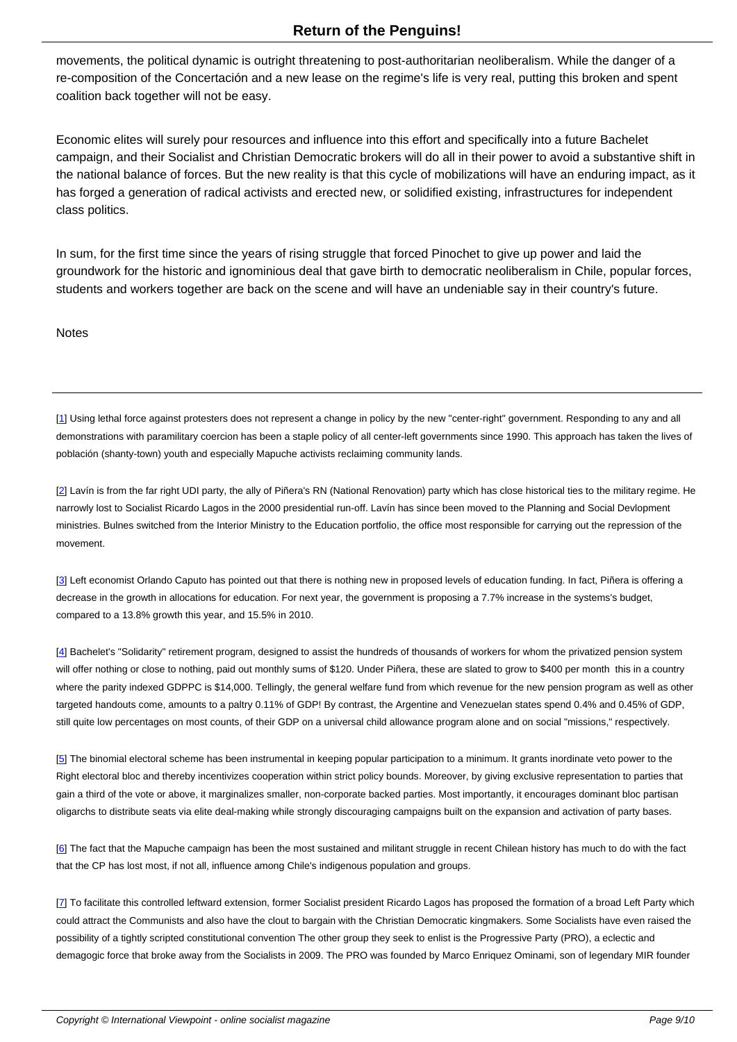movements, the political dynamic is outright threatening to post-authoritarian neoliberalism. While the danger of a re-composition of the Concertación and a new lease on the regime's life is very real, putting this broken and spent coalition back together will not be easy.

Economic elites will surely pour resources and influence into this effort and specifically into a future Bachelet campaign, and their Socialist and Christian Democratic brokers will do all in their power to avoid a substantive shift in the national balance of forces. But the new reality is that this cycle of mobilizations will have an enduring impact, as it has forged a generation of radical activists and erected new, or solidified existing, infrastructures for independent class politics.

In sum, for the first time since the years of rising struggle that forced Pinochet to give up power and laid the groundwork for the historic and ignominious deal that gave birth to democratic neoliberalism in Chile, popular forces, students and workers together are back on the scene and will have an undeniable say in their country's future.

Notes

[1] Using lethal force against protesters does not represent a change in policy by the new "center-right" government. Responding to any and all demonstrations with paramilitary coercion has been a staple policy of all center-left governments since 1990. This approach has taken the lives of población (shanty-town) youth and especially Mapuche activists reclaiming community lands.

[[2](#nh1)] Lavín is from the far right UDI party, the ally of Piñera's RN (National Renovation) party which has close historical ties to the military regime. He narrowly lost to Socialist Ricardo Lagos in the 2000 presidential run-off. Lavín has since been moved to the Planning and Social Devlopment ministries. Bulnes switched from the Interior Ministry to the Education portfolio, the office most responsible for carrying out the repression of the [m](#nh2)ovement.

[3] Left economist Orlando Caputo has pointed out that there is nothing new in proposed levels of education funding. In fact, Piñera is offering a decrease in the growth in allocations for education. For next year, the government is proposing a 7.7% increase in the systems's budget, compared to a 13.8% growth this year, and 15.5% in 2010.

[4] Bachelet's "Solidarity" retirement program, designed to assist the hundreds of thousands of workers for whom the privatized pension system will offer nothing or close to nothing, paid out monthly sums of \$120. Under Piñera, these are slated to grow to \$400 per month this in a country where the parity indexed GDPPC is \$14,000. Tellingly, the general welfare fund from which revenue for the new pension program as well as other targeted handouts come, amounts to a paltry 0.11% of GDP! By contrast, the Argentine and Venezuelan states spend 0.4% and 0.45% of GDP, [sti](#nh4)ll quite low percentages on most counts, of their GDP on a universal child allowance program alone and on social "missions," respectively.

[5] The binomial electoral scheme has been instrumental in keeping popular participation to a minimum. It grants inordinate veto power to the Right electoral bloc and thereby incentivizes cooperation within strict policy bounds. Moreover, by giving exclusive representation to parties that gain a third of the vote or above, it marginalizes smaller, non-corporate backed parties. Most importantly, it encourages dominant bloc partisan [oli](#nh5)garchs to distribute seats via elite deal-making while strongly discouraging campaigns built on the expansion and activation of party bases.

[6] The fact that the Mapuche campaign has been the most sustained and militant struggle in recent Chilean history has much to do with the fact that the CP has lost most, if not all, influence among Chile's indigenous population and groups.

[[7](#nh6)] To facilitate this controlled leftward extension, former Socialist president Ricardo Lagos has proposed the formation of a broad Left Party which could attract the Communists and also have the clout to bargain with the Christian Democratic kingmakers. Some Socialists have even raised the possibility of a tightly scripted constitutional convention The other group they seek to enlist is the Progressive Party (PRO), a eclectic and [de](#nh7)magogic force that broke away from the Socialists in 2009. The PRO was founded by Marco Enriquez Ominami, son of legendary MIR founder